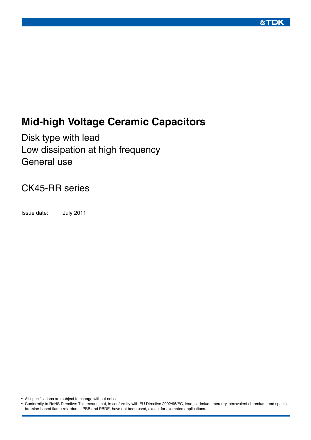### **公丁口K**

# **Mid-high Voltage Ceramic Capacitors**

Disk type with lead Low dissipation at high frequency General use

### CK45-RR series

Issue date: July 2011

• All specifications are subject to change without notice.

• Conformity to RoHS Directive: This means that, in conformity with EU Directive 2002/95/EC, lead, cadmium, mercury, hexavalent chromium, and specific bromine-based flame retardants, PBB and PBDE, have not been used, except for exempted applications.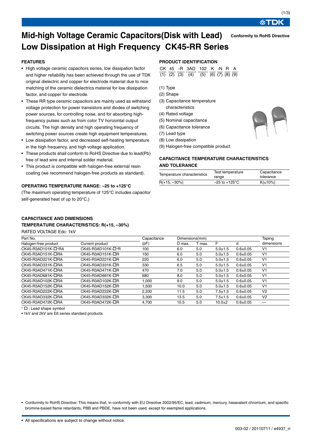# 处TDK

 $(1/3)$ 

**Conformity to RoHS Directive**

### **Mid-high Voltage Ceramic Capacitors(Disk with Lead) Low Dissipation at High Frequency CK45-RR Series**

#### **FEATURES**

- High voltage ceramic capacitors series, low dissipation factor and higher reliability has been achieved through the use of TDK original dielectric and copper for electrode material due to nice matching of the ceramic dielectrics material for low dissipation factor, and copper for electrode.
- These RR type ceramic capacitors are mainly used as withstand voltage protection for power transistors and diodes of switching power sources, for controlling noise, and for absorbing highfrequency pulses such as from color TV horizontal output circuits. The high density and high operating frequency of switching power sources create high equipment temperatures.
- Low dissipation factor, and decreased self-heating temperature in the high frequency, and high voltage application.
- These products shall conform to RoHS Directive due to lead(Pb) free of lead wire and internal solder material.
- This product is compatible with halogen-free external resin coating (we recommend halogen-free products as standard).

#### **OPERATING TEMPERATURE RANGE: –25 to +125°C**

(The maximum operating temperature of 125°C includes capacitor self-generated heat of up to 20°C.)

#### **PRODUCT IDENTIFICATION**

|  | CK 45 -R 3AD 102 K -N R A                             |  |  |  |
|--|-------------------------------------------------------|--|--|--|
|  | $(1)$ $(2)$ $(3)$ $(4)$ $(5)$ $(6)$ $(7)$ $(8)$ $(9)$ |  |  |  |

- (1) Type
- (2) Shape
- (3) Capacitance temperature characteristics
- (4) Rated voltage
- (5) Nominal capacitance
- (6) Capacitance tolerance
- (7) Lead type
- (8) Low dissipation

(9) Halogen-free compatible product

#### **CAPACITANCE TEMPERATURE CHARACTERISTICS AND TOLERANCE**

| Temperature characteristics | Test temperature          | Capacitance   |  |  |
|-----------------------------|---------------------------|---------------|--|--|
|                             | range                     | tolerance     |  |  |
| $R(+15, -30\%)$             | $-25$ to $+125^{\circ}$ C | $K(\pm 10\%)$ |  |  |

#### **CAPACITANCE AND DIMENSIONS TEMPERATURE CHARACTERISTICS: R(+15, –30%)**

RATED VOLTAGE Edc: 1kV

| Part No.                     |                          | Capacitance | Dimensions(mm) |     |             |              | Taping         |
|------------------------------|--------------------------|-------------|----------------|-----|-------------|--------------|----------------|
| Halogen-free product         | (pF)                     | D max.      | T max.         | F   | d           | dimensions   |                |
| CK45-R3AD101K- $\square$ *RA | CK45-R3AD101K- $\Box$ *R | 100         | 6.0            | 5.0 | $5.0 + 1.5$ | $0.6 + 0.05$ | V <sub>1</sub> |
| $CK45-R3AD151K-\squareRA$    | $CK45-R3AD151K-\squareR$ | 150         | 6.0            | 5.0 | $5.0 + 1.5$ | $0.6 + 0.05$ | V <sub>1</sub> |
| CK45-R3AD221K-ORA            | CK45-R3AD221K-□R         | 220         | 6.0            | 5.0 | $5.0 + 1.5$ | $0.6 + 0.05$ | V <sub>1</sub> |
| CK45-R3AD331K-ORA            | CK45-R3AD331K-□R         | 330         | 6.5            | 5.0 | $5.0 + 1.5$ | $0.6 + 0.05$ | V <sub>1</sub> |
| $CK45-R3AD471K-\squareRA$    | $CK45-R3AD471K-\squareR$ | 470         | 7.0            | 5.0 | $5.0 + 1.5$ | $0.6 + 0.05$ | V <sub>1</sub> |
| $CK45-R3AD681K-\squareRA$    | $CK45-R3AD681K-\squareR$ | 680         | 8.0            | 5.0 | $5.0 + 1.5$ | $0.6 + 0.05$ | V <sub>1</sub> |
| CK45-R3AD102K-□RA            | CK45-R3AD102K-□R         | 1.000       | 9.0            | 5.0 | $5.0 + 1.5$ | $0.6 + 0.05$ | V <sub>1</sub> |
| CK45-R3AD152K-□RA            | $CK45-R3AD152K-\squareR$ | 1.500       | 10.0           | 5.0 | $5.0 + 1.5$ | $0.6 + 0.05$ | V <sub>1</sub> |
| CK45-R3AD222K-ORA            | $CK45-R3AD222K-\squareR$ | 2.200       | 11.5           | 5.0 | $7.5 + 1.5$ | $0.6 + 0.05$ | V <sub>2</sub> |
| CK45-R3AD332K-ORA            | CK45-R3AD332K-□R         | 3.300       | 13.5           | 5.0 | $7.5 + 1.5$ | $0.6 + 0.05$ | V <sub>2</sub> |
| CK45-R3AD472K-□RA            | $CK45-R3AD472K-\squareR$ | 4,700       | 15.5           | 5.0 | $10.0 + 2$  | $0.6 + 0.05$ | —              |

<sup>∗</sup> : Lead shape symbol

• 1kV and 2kV are E6 series standard products.

• Conformity to RoHS Directive: This means that, in conformity with EU Directive 2002/95/EC, lead, cadmium, mercury, hexavalent chromium, and specific bromine-based flame retardants, PBB and PBDE, have not been used, except for exempted applications.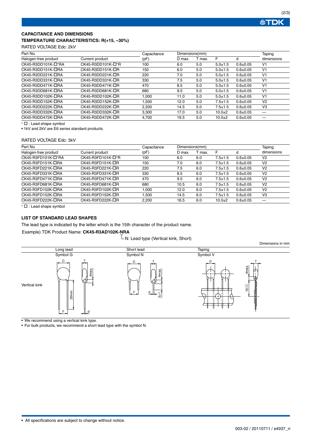#### **CAPACITANCE AND DIMENSIONS TEMPERATURE CHARACTERISTICS: R(+15, –30%)**

#### RATED VOLTAGE Edc: 2kV

| Part No.                  |                          | Capacitance | Dimensions(mm) |        |               |              | Taping         |  |
|---------------------------|--------------------------|-------------|----------------|--------|---------------|--------------|----------------|--|
| Halogen-free product      | Current product          | (pF)        | D max.         | T max. | F             | d            | dimensions     |  |
| CK45-R3DD101K- $\Box$ *RA | CK45-R3DD101K- $\Box$ *R | 100         | 6.0            | 5.0    | $5.0 + 1.5$   | $0.6 + 0.05$ | V <sub>1</sub> |  |
| CK45-R3DD151K-ORA         | CK45-R3DD151K-OR         | 150         | 6.0            | 5.0    | $5.0 + 1.5$   | $0.6 + 0.05$ | V <sub>1</sub> |  |
| CK45-R3DD221K-ORA         | CK45-R3DD221K-OR         | 220         | 7.0            | 5.0    | $5.0 + 1.5$   | $0.6 + 0.05$ | V <sub>1</sub> |  |
| CK45-R3DD331K-ORA         | CK45-R3DD331K-□R         | 330         | 7.5            | 5.0    | $5.0 + 1.5$   | $0.6 + 0.05$ | V <sub>1</sub> |  |
| CK45-R3DD471K-□RA         | $CK45-R3DD471K-\squareR$ | 470         | 8.5            | 5.0    | $5.0 + 1.5$   | $0.6 + 0.05$ | V <sub>1</sub> |  |
| CK45-R3DD681K-ORA         | CK45-R3DD681K-OR         | 680         | 9.5            | 5.0    | $5.0 + 1.5$   | $0.6 + 0.05$ | V <sub>1</sub> |  |
| CK45-R3DD102K-□RA         | CK45-R3DD102K-□R         | 1.000       | 11.0           | 5.0    | $5.0 + 1.5$   | $0.6 + 0.05$ | V <sub>1</sub> |  |
| CK45-R3DD152K-ORA         | CK45-R3DD152K-OR         | 1,500       | 12.0           | 5.0    | $7.5 + 1.5$   | $0.6 + 0.05$ | V <sub>2</sub> |  |
| CK45-R3DD222K-□RA         | CK45-R3DD222K-OR         | 2,200       | 14.5           | 5.0    | $7.5 \pm 1.5$ | $0.6 + 0.05$ | V <sub>3</sub> |  |
| CK45-R3DD332K-ORA         | CK45-R3DD332K-□R         | 3.300       | 17.0           | 5.0    | $10.0 + 2$    | $0.6 + 0.05$ |                |  |
| CK45-R3DD472K-ORA         | CK45-R3DD472K-□R         | 4.700       | 19.5           | 5.0    | $10.0 + 2$    | $0.6 + 0.05$ |                |  |

<sup>∗</sup> : Lead shape symbol

• 1kV and 2kV are E6 series standard products.

#### RATED VOLTAGE Edc: 3kV

| Part No.             | Capacitance       | Dimensions(mm) |        |        |             | Taping       |                |
|----------------------|-------------------|----------------|--------|--------|-------------|--------------|----------------|
| Halogen-free product | Current product   | (pF)           | D max. | T max. | F           | d            | dimensions     |
| CK45-R3FD101K-□*RA   | CK45-R3FD101K-□*R | 100            | 6.0    | 6.0    | $7.5 + 1.5$ | $0.6 + 0.05$ | V <sub>2</sub> |
| CK45-R3FD151K-DRA    | CK45-R3FD151K-OR  | 150            | 7.0    | 6.0    | $7.5 + 1.5$ | $0.6 + 0.05$ | V <sub>2</sub> |
| CK45-R3FD221K-DRA    | CK45-R3FD221K-OR  | 220            | 7.5    | 6.0    | $7.5 + 1.5$ | $0.6 + 0.05$ | V <sub>2</sub> |
| CK45-R3FD331K-□RA    | CK45-R3FD331K-OR  | 330            | 8.5    | 6.0    | $7.5 + 1.5$ | $0.6 + 0.05$ | V <sub>2</sub> |
| CK45-R3FD471K-ORA    | CK45-R3FD471K-□R  | 470            | 9.5    | 6.0    | $7.5 + 1.5$ | $0.6 + 0.05$ | V <sub>2</sub> |
| CK45-R3FD681K-ORA    | CK45-R3FD681K-□R  | 680            | 10.5   | 6.0    | $7.5 + 1.5$ | $0.6 + 0.05$ | V <sub>2</sub> |
| CK45-R3FD102K-ORA    | CK45-R3FD102K-□R  | 1.000          | 12.0   | 6.0    | $7.5 + 1.5$ | $0.6 + 0.05$ | V <sub>2</sub> |
| CK45-R3FD152K-DRA    | CK45-R3FD152K-OR  | 500، ا         | 14.5   | 6.0    | $7.5 + 1.5$ | $0.6 + 0.05$ | V <sub>3</sub> |
| CK45-R3FD222K-ORA    | CK45-R3FD222K-OR  | 2.200          | 16.5   | 6.0    | $10.0 + 2$  | $0.6 + 0.05$ |                |

<sup>∗</sup> : Lead shape symbol

#### **LIST OF STANDARD LEAD SHAPES**

The lead type is indicated by the letter which is the 15th character of the product name.

#### Example) TDK Product Name: **CK45-R3AD102K-NRA**

 $\mathbb L$ N: Lead type (Vertical kink, Short)



• We recommend using a vertical kink type.

• For bulk products, we recommend a short lead type with the symbol N.